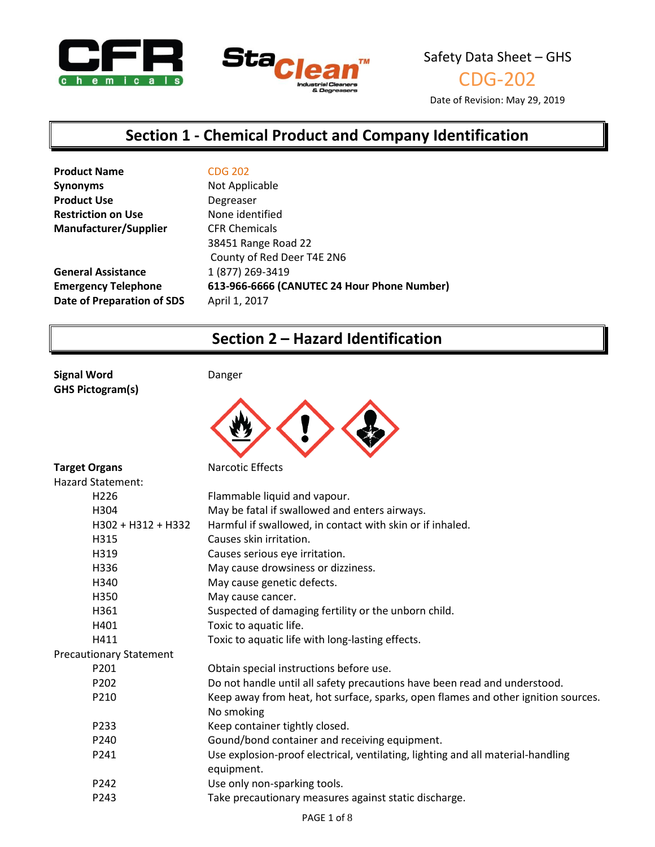



CDG-202

Date of Revision: May 29, 2019

### **Section 1 - Chemical Product and Company Identification**

| <b>Product Name</b>          | <b>CDG 202</b>                              |
|------------------------------|---------------------------------------------|
| <b>Synonyms</b>              | Not Applicable                              |
| <b>Product Use</b>           | Degreaser                                   |
| <b>Restriction on Use</b>    | None identified                             |
| <b>Manufacturer/Supplier</b> | <b>CFR Chemicals</b>                        |
|                              | 38451 Range Road 22                         |
|                              | County of Red Deer T4E 2N6                  |
| <b>General Assistance</b>    | 1 (877) 269-3419                            |
| <b>Emergency Telephone</b>   | 613-966-6666 (CANUTEC 24 Hour Phone Number) |
| Date of Preparation of SDS   | April 1, 2017                               |
|                              |                                             |

## **Section 2 – Hazard Identification**

**Signal Word** Danger **GHS Pictogram(s)**



| <b>Target Organs</b>           | Narcotic Effects                                                                              |
|--------------------------------|-----------------------------------------------------------------------------------------------|
| <b>Hazard Statement:</b>       |                                                                                               |
| H <sub>226</sub>               | Flammable liquid and vapour.                                                                  |
| H304                           | May be fatal if swallowed and enters airways.                                                 |
| H302 + H312 + H332             | Harmful if swallowed, in contact with skin or if inhaled.                                     |
| H315                           | Causes skin irritation.                                                                       |
| H319                           | Causes serious eye irritation.                                                                |
| H336                           | May cause drowsiness or dizziness.                                                            |
| H340                           | May cause genetic defects.                                                                    |
| H350                           | May cause cancer.                                                                             |
| H361                           | Suspected of damaging fertility or the unborn child.                                          |
| H401                           | Toxic to aquatic life.                                                                        |
| H411                           | Toxic to aquatic life with long-lasting effects.                                              |
| <b>Precautionary Statement</b> |                                                                                               |
| P201                           | Obtain special instructions before use.                                                       |
| P202                           | Do not handle until all safety precautions have been read and understood.                     |
| P210                           | Keep away from heat, hot surface, sparks, open flames and other ignition sources.             |
|                                | No smoking                                                                                    |
| P233                           | Keep container tightly closed.                                                                |
| P240                           | Gound/bond container and receiving equipment.                                                 |
| P241                           | Use explosion-proof electrical, ventilating, lighting and all material-handling<br>equipment. |
| P <sub>242</sub>               | Use only non-sparking tools.                                                                  |
| P <sub>243</sub>               | Take precautionary measures against static discharge.                                         |
|                                |                                                                                               |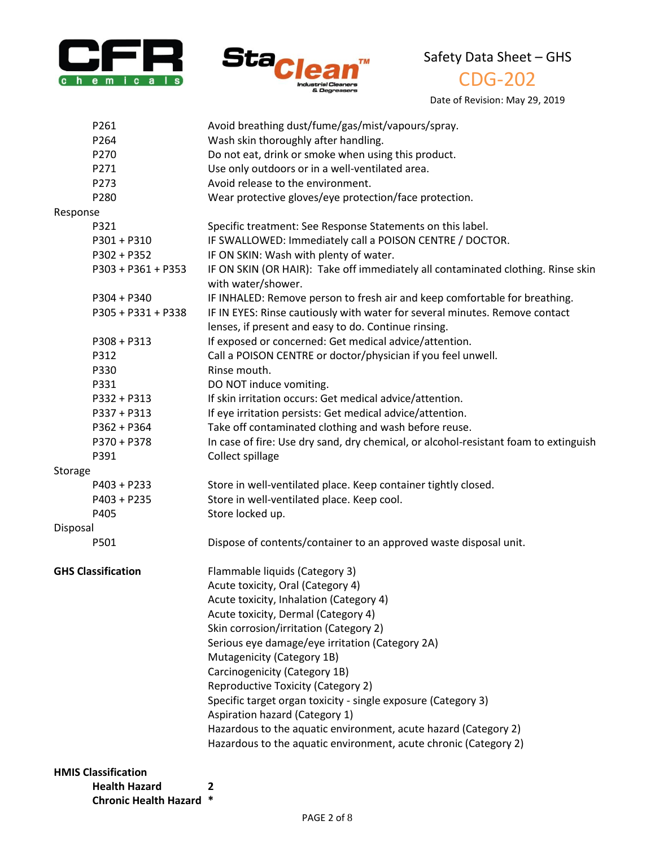



# CDG-202

Date of Revision: May 29, 2019

|          | <b>Health Hazard</b>       | 2                                                                                    |
|----------|----------------------------|--------------------------------------------------------------------------------------|
|          | <b>HMIS Classification</b> |                                                                                      |
|          |                            |                                                                                      |
|          |                            | Hazardous to the aquatic environment, acute chronic (Category 2)                     |
|          |                            | Hazardous to the aquatic environment, acute hazard (Category 2)                      |
|          |                            | Aspiration hazard (Category 1)                                                       |
|          |                            | Specific target organ toxicity - single exposure (Category 3)                        |
|          |                            | <b>Reproductive Toxicity (Category 2)</b>                                            |
|          |                            | Carcinogenicity (Category 1B)                                                        |
|          |                            | Mutagenicity (Category 1B)                                                           |
|          |                            | Serious eye damage/eye irritation (Category 2A)                                      |
|          |                            | Skin corrosion/irritation (Category 2)                                               |
|          |                            | Acute toxicity, Dermal (Category 4)                                                  |
|          |                            | Acute toxicity, Inhalation (Category 4)                                              |
|          |                            | Acute toxicity, Oral (Category 4)                                                    |
|          | <b>GHS Classification</b>  | Flammable liquids (Category 3)                                                       |
|          | P501                       | Dispose of contents/container to an approved waste disposal unit.                    |
| Disposal |                            |                                                                                      |
|          | P405                       | Store locked up.                                                                     |
|          | $P403 + P235$              | Store in well-ventilated place. Keep cool.                                           |
|          | P403 + P233                | Store in well-ventilated place. Keep container tightly closed.                       |
| Storage  |                            |                                                                                      |
|          | P391                       | Collect spillage                                                                     |
|          | P370 + P378                | In case of fire: Use dry sand, dry chemical, or alcohol-resistant foam to extinguish |
|          | $P362 + P364$              | Take off contaminated clothing and wash before reuse.                                |
|          | P337 + P313                | If eye irritation persists: Get medical advice/attention.                            |
|          | P332 + P313                | If skin irritation occurs: Get medical advice/attention.                             |
|          | P331                       | DO NOT induce vomiting.                                                              |
|          | P330                       | Rinse mouth.                                                                         |
|          | P312                       | Call a POISON CENTRE or doctor/physician if you feel unwell.                         |
|          | $P308 + P313$              | If exposed or concerned: Get medical advice/attention.                               |
|          |                            | lenses, if present and easy to do. Continue rinsing.                                 |
|          | P305 + P331 + P338         | IF IN EYES: Rinse cautiously with water for several minutes. Remove contact          |
|          | $P304 + P340$              | IF INHALED: Remove person to fresh air and keep comfortable for breathing.           |
|          |                            | with water/shower.                                                                   |
|          | P303 + P361 + P353         | IF ON SKIN (OR HAIR): Take off immediately all contaminated clothing. Rinse skin     |
|          | P302 + P352                | IF ON SKIN: Wash with plenty of water.                                               |
|          | P301 + P310                | IF SWALLOWED: Immediately call a POISON CENTRE / DOCTOR.                             |
|          | P321                       | Specific treatment: See Response Statements on this label.                           |
| Response |                            |                                                                                      |
|          | P280                       | Wear protective gloves/eye protection/face protection.                               |
|          | P273                       | Avoid release to the environment.                                                    |
|          | P271                       | Use only outdoors or in a well-ventilated area.                                      |
|          | P270                       | Do not eat, drink or smoke when using this product.                                  |
|          | P264                       | Wash skin thoroughly after handling.                                                 |
|          | P261                       | Avoid breathing dust/fume/gas/mist/vapours/spray.                                    |
|          |                            |                                                                                      |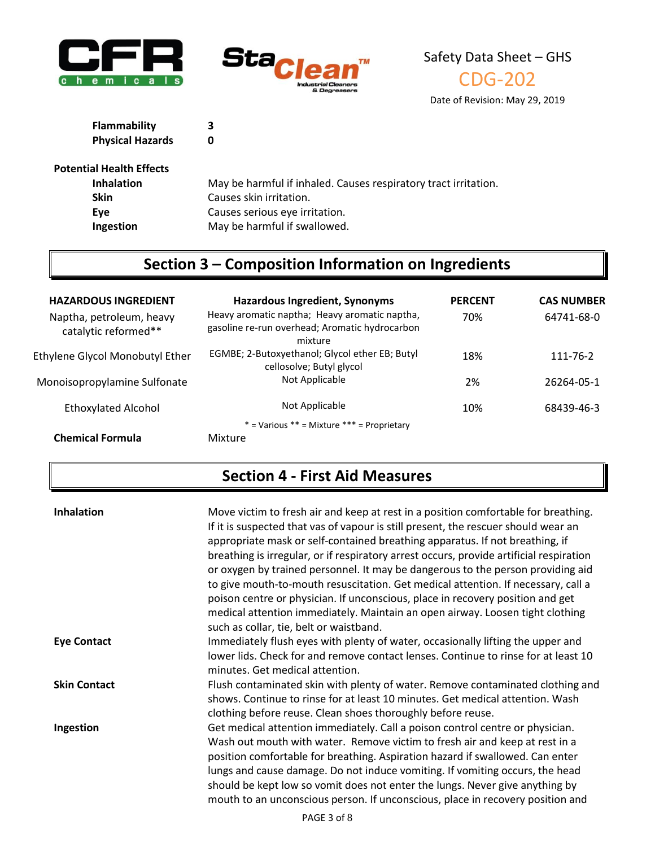





Date of Revision: May 29, 2019

| Flammability            | 3 |
|-------------------------|---|
| <b>Physical Hazards</b> | 0 |

#### **Potential Health Effects**

| May be harmful if inhaled. Causes respiratory tract irritation. |
|-----------------------------------------------------------------|
| Causes skin irritation.                                         |
| Causes serious eye irritation.                                  |
| May be harmful if swallowed.                                    |
|                                                                 |

# **Section 3 – Composition Information on Ingredients**

| <b>HAZARDOUS INGREDIENT</b>                      | <b>Hazardous Ingredient, Synonyms</b>                                                                      | <b>PERCENT</b> | <b>CAS NUMBER</b> |
|--------------------------------------------------|------------------------------------------------------------------------------------------------------------|----------------|-------------------|
| Naptha, petroleum, heavy<br>catalytic reformed** | Heavy aromatic naptha; Heavy aromatic naptha,<br>gasoline re-run overhead; Aromatic hydrocarbon<br>mixture | 70%            | 64741-68-0        |
| Ethylene Glycol Monobutyl Ether                  | EGMBE; 2-Butoxyethanol; Glycol ether EB; Butyl<br>cellosolve; Butyl glycol                                 | 18%            | 111-76-2          |
| Monoisopropylamine Sulfonate                     | Not Applicable                                                                                             | 2%             | 26264-05-1        |
| <b>Ethoxylated Alcohol</b>                       | Not Applicable                                                                                             | 10%            | 68439-46-3        |
|                                                  | $*$ = Various $**$ = Mixture $***$ = Proprietary                                                           |                |                   |
| <b>Chemical Formula</b>                          | Mixture                                                                                                    |                |                   |

### **Section 4 - First Aid Measures**

| <b>Inhalation</b>   | Move victim to fresh air and keep at rest in a position comfortable for breathing.<br>If it is suspected that vas of vapour is still present, the rescuer should wear an<br>appropriate mask or self-contained breathing apparatus. If not breathing, if<br>breathing is irregular, or if respiratory arrest occurs, provide artificial respiration<br>or oxygen by trained personnel. It may be dangerous to the person providing aid<br>to give mouth-to-mouth resuscitation. Get medical attention. If necessary, call a<br>poison centre or physician. If unconscious, place in recovery position and get<br>medical attention immediately. Maintain an open airway. Loosen tight clothing<br>such as collar, tie, belt or waistband. |
|---------------------|-------------------------------------------------------------------------------------------------------------------------------------------------------------------------------------------------------------------------------------------------------------------------------------------------------------------------------------------------------------------------------------------------------------------------------------------------------------------------------------------------------------------------------------------------------------------------------------------------------------------------------------------------------------------------------------------------------------------------------------------|
| <b>Eye Contact</b>  | Immediately flush eyes with plenty of water, occasionally lifting the upper and<br>lower lids. Check for and remove contact lenses. Continue to rinse for at least 10<br>minutes. Get medical attention.                                                                                                                                                                                                                                                                                                                                                                                                                                                                                                                                  |
| <b>Skin Contact</b> | Flush contaminated skin with plenty of water. Remove contaminated clothing and<br>shows. Continue to rinse for at least 10 minutes. Get medical attention. Wash<br>clothing before reuse. Clean shoes thoroughly before reuse.                                                                                                                                                                                                                                                                                                                                                                                                                                                                                                            |
| Ingestion           | Get medical attention immediately. Call a poison control centre or physician.<br>Wash out mouth with water. Remove victim to fresh air and keep at rest in a<br>position comfortable for breathing. Aspiration hazard if swallowed. Can enter<br>lungs and cause damage. Do not induce vomiting. If vomiting occurs, the head<br>should be kept low so vomit does not enter the lungs. Never give anything by<br>mouth to an unconscious person. If unconscious, place in recovery position and                                                                                                                                                                                                                                           |
|                     | DACE 2AFQ                                                                                                                                                                                                                                                                                                                                                                                                                                                                                                                                                                                                                                                                                                                                 |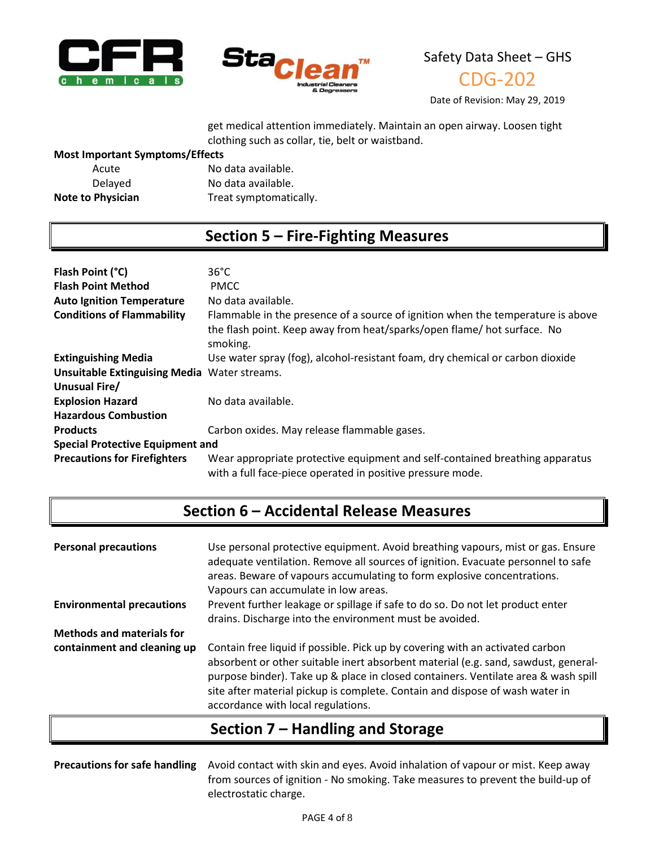



CDG-202

Date of Revision: May 29, 2019

get medical attention immediately. Maintain an open airway. Loosen tight clothing such as collar, tie, belt or waistband.

#### **Most Important Symptoms/Effects**

| Acute                    | No data available.     |
|--------------------------|------------------------|
| Delayed                  | No data available.     |
| <b>Note to Physician</b> | Treat symptomatically. |

### **Section 5 – Fire-Fighting Measures**

| Flash Point (°C)                                    | $36^{\circ}$ C                                                                                                                             |  |
|-----------------------------------------------------|--------------------------------------------------------------------------------------------------------------------------------------------|--|
| <b>Flash Point Method</b>                           | <b>PMCC</b>                                                                                                                                |  |
| <b>Auto Ignition Temperature</b>                    | No data available.                                                                                                                         |  |
| <b>Conditions of Flammability</b>                   | Flammable in the presence of a source of ignition when the temperature is above                                                            |  |
|                                                     | the flash point. Keep away from heat/sparks/open flame/ hot surface. No<br>smoking.                                                        |  |
| <b>Extinguishing Media</b>                          | Use water spray (fog), alcohol-resistant foam, dry chemical or carbon dioxide                                                              |  |
| <b>Unsuitable Extinguising Media Water streams.</b> |                                                                                                                                            |  |
| Unusual Fire/                                       |                                                                                                                                            |  |
| <b>Explosion Hazard</b>                             | No data available.                                                                                                                         |  |
| <b>Hazardous Combustion</b>                         |                                                                                                                                            |  |
| <b>Products</b>                                     | Carbon oxides. May release flammable gases.                                                                                                |  |
| <b>Special Protective Equipment and</b>             |                                                                                                                                            |  |
| <b>Precautions for Firefighters</b>                 | Wear appropriate protective equipment and self-contained breathing apparatus<br>with a full face-piece operated in positive pressure mode. |  |

## **Section 6 – Accidental Release Measures**

| <b>Personal precautions</b>      | Use personal protective equipment. Avoid breathing vapours, mist or gas. Ensure<br>adequate ventilation. Remove all sources of ignition. Evacuate personnel to safe<br>areas. Beware of vapours accumulating to form explosive concentrations.<br>Vapours can accumulate in low areas.                                                                                          |  |
|----------------------------------|---------------------------------------------------------------------------------------------------------------------------------------------------------------------------------------------------------------------------------------------------------------------------------------------------------------------------------------------------------------------------------|--|
| <b>Environmental precautions</b> | Prevent further leakage or spillage if safe to do so. Do not let product enter<br>drains. Discharge into the environment must be avoided.                                                                                                                                                                                                                                       |  |
| <b>Methods and materials for</b> |                                                                                                                                                                                                                                                                                                                                                                                 |  |
| containment and cleaning up      | Contain free liquid if possible. Pick up by covering with an activated carbon<br>absorbent or other suitable inert absorbent material (e.g. sand, sawdust, general-<br>purpose binder). Take up & place in closed containers. Ventilate area & wash spill<br>site after material pickup is complete. Contain and dispose of wash water in<br>accordance with local regulations. |  |

### **Section 7 – Handling and Storage**

**Precautions for safe handling** Avoid contact with skin and eyes. Avoid inhalation of vapour or mist. Keep away from sources of ignition - No smoking. Take measures to prevent the build-up of electrostatic charge.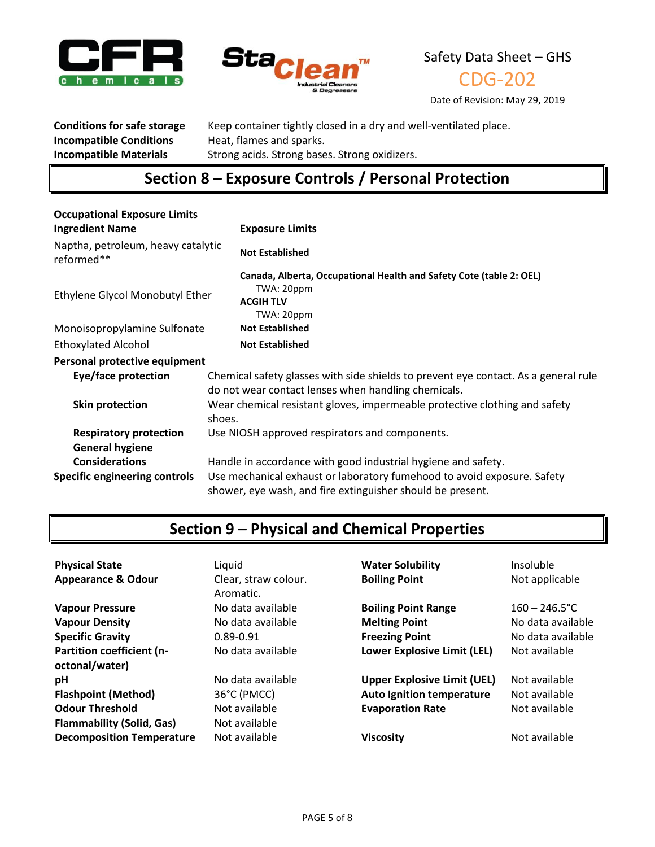



CDG-202

Date of Revision: May 29, 2019

**Incompatible Conditions** Heat, flames and sparks.

**Conditions for safe storage** Keep container tightly closed in a dry and well-ventilated place. **Incompatible Materials** Strong acids. Strong bases. Strong oxidizers.

## **Section 8 – Exposure Controls / Personal Protection**

| <b>Occupational Exposure Limits</b>              |                                                                                                                                            |  |
|--------------------------------------------------|--------------------------------------------------------------------------------------------------------------------------------------------|--|
| <b>Ingredient Name</b>                           | <b>Exposure Limits</b>                                                                                                                     |  |
| Naptha, petroleum, heavy catalytic<br>reformed** | <b>Not Established</b>                                                                                                                     |  |
| Ethylene Glycol Monobutyl Ether                  | Canada, Alberta, Occupational Health and Safety Cote (table 2: OEL)<br>TWA: 20ppm<br><b>ACGIH TLV</b><br>TWA: 20ppm                        |  |
| Monoisopropylamine Sulfonate                     | <b>Not Established</b>                                                                                                                     |  |
| <b>Ethoxylated Alcohol</b>                       | <b>Not Established</b>                                                                                                                     |  |
| Personal protective equipment                    |                                                                                                                                            |  |
| Eye/face protection                              | Chemical safety glasses with side shields to prevent eye contact. As a general rule<br>do not wear contact lenses when handling chemicals. |  |
| Skin protection                                  | Wear chemical resistant gloves, impermeable protective clothing and safety<br>shoes.                                                       |  |
| <b>Respiratory protection</b>                    | Use NIOSH approved respirators and components.                                                                                             |  |
| <b>General hygiene</b>                           |                                                                                                                                            |  |
| <b>Considerations</b>                            | Handle in accordance with good industrial hygiene and safety.                                                                              |  |
| <b>Specific engineering controls</b>             | Use mechanical exhaust or laboratory fumehood to avoid exposure. Safety<br>shower, eye wash, and fire extinguisher should be present.      |  |

# **Section 9 – Physical and Chemical Properties**

| <b>Physical State</b><br><b>Appearance &amp; Odour</b> | Liquid<br>Clear, straw colour.<br>Aromatic. | <b>Water Solubility</b><br><b>Boiling Point</b> | Insoluble<br>Not applicable |
|--------------------------------------------------------|---------------------------------------------|-------------------------------------------------|-----------------------------|
| <b>Vapour Pressure</b>                                 | No data available                           | <b>Boiling Point Range</b>                      | $160 - 246.5^{\circ}$ C     |
| <b>Vapour Density</b>                                  | No data available                           | <b>Melting Point</b>                            | No data available           |
| <b>Specific Gravity</b>                                | $0.89 - 0.91$                               | <b>Freezing Point</b>                           | No data available           |
| <b>Partition coefficient (n-</b><br>octonal/water)     | No data available                           | Lower Explosive Limit (LEL)                     | Not available               |
| pH                                                     | No data available                           | <b>Upper Explosive Limit (UEL)</b>              | Not available               |
| <b>Flashpoint (Method)</b>                             | 36°C (PMCC)                                 | <b>Auto Ignition temperature</b>                | Not available               |
| <b>Odour Threshold</b>                                 | Not available                               | <b>Evaporation Rate</b>                         | Not available               |
| <b>Flammability (Solid, Gas)</b>                       | Not available                               |                                                 |                             |
| <b>Decomposition Temperature</b>                       | Not available                               | <b>Viscosity</b>                                | Not available               |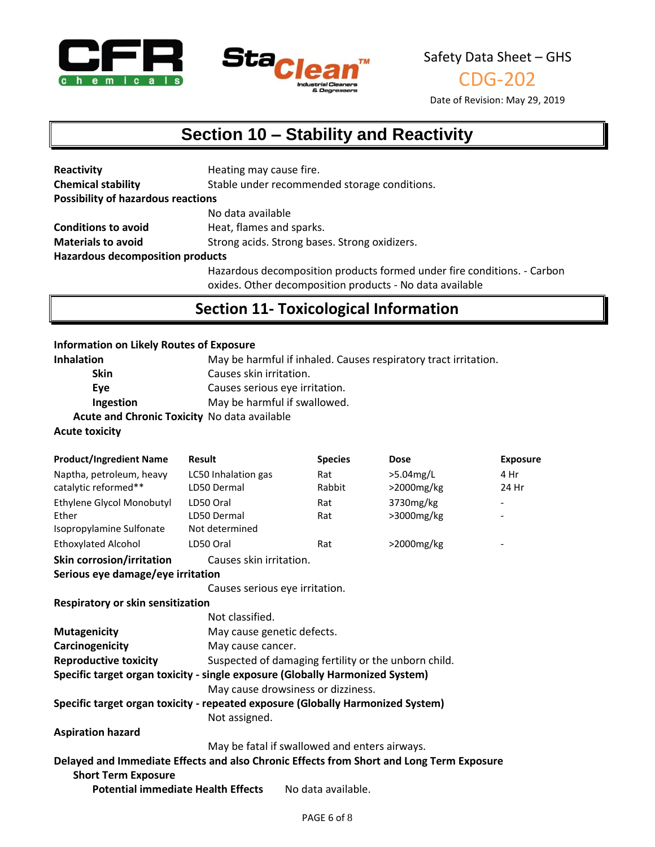



CDG-202

Date of Revision: May 29, 2019

# **Section 10 – Stability and Reactivity**

| Reactivity                                | Heating may cause fire.                                                 |
|-------------------------------------------|-------------------------------------------------------------------------|
| <b>Chemical stability</b>                 | Stable under recommended storage conditions.                            |
| <b>Possibility of hazardous reactions</b> |                                                                         |
|                                           | No data available                                                       |
| <b>Conditions to avoid</b>                | Heat, flames and sparks.                                                |
| <b>Materials to avoid</b>                 | Strong acids. Strong bases. Strong oxidizers.                           |
| <b>Hazardous decomposition products</b>   |                                                                         |
|                                           | Hazardous decomposition products formed under fire conditions. - Carbon |

oxides. Other decomposition products - No data available

### **Section 11- Toxicological Information**

#### **Information on Likely Routes of Exposure**

| <b>Inhalation</b>                            | May be harmful if inhaled. Causes respiratory tract irritation. |
|----------------------------------------------|-----------------------------------------------------------------|
| <b>Skin</b>                                  | Causes skin irritation.                                         |
| Eve                                          | Causes serious eye irritation.                                  |
| Ingestion                                    | May be harmful if swallowed.                                    |
| Acute and Chronic Toxicity No data available |                                                                 |
| .                                            |                                                                 |

**Acute toxicity**

| <b>Product/Ingredient Name</b>                                                           | <b>Result</b>                                 | <b>Species</b>                                       | <b>Dose</b> | <b>Exposure</b> |
|------------------------------------------------------------------------------------------|-----------------------------------------------|------------------------------------------------------|-------------|-----------------|
| Naptha, petroleum, heavy                                                                 | LC50 Inhalation gas                           | Rat                                                  | >5.04mg/L   | 4 Hr            |
| catalytic reformed**                                                                     | LD50 Dermal                                   | Rabbit                                               | >2000mg/kg  | 24 Hr           |
| Ethylene Glycol Monobutyl                                                                | LD50 Oral                                     | Rat                                                  | 3730mg/kg   |                 |
| Ether                                                                                    | LD50 Dermal                                   | Rat                                                  | >3000mg/kg  |                 |
| Isopropylamine Sulfonate                                                                 | Not determined                                |                                                      |             |                 |
| <b>Ethoxylated Alcohol</b>                                                               | LD50 Oral                                     | Rat                                                  | >2000mg/kg  |                 |
| <b>Skin corrosion/irritation</b>                                                         | Causes skin irritation.                       |                                                      |             |                 |
| Serious eye damage/eye irritation                                                        |                                               |                                                      |             |                 |
|                                                                                          | Causes serious eye irritation.                |                                                      |             |                 |
| Respiratory or skin sensitization                                                        |                                               |                                                      |             |                 |
|                                                                                          | Not classified.                               |                                                      |             |                 |
| <b>Mutagenicity</b>                                                                      | May cause genetic defects.                    |                                                      |             |                 |
| Carcinogenicity                                                                          | May cause cancer.                             |                                                      |             |                 |
| <b>Reproductive toxicity</b>                                                             |                                               | Suspected of damaging fertility or the unborn child. |             |                 |
| Specific target organ toxicity - single exposure (Globally Harmonized System)            |                                               |                                                      |             |                 |
|                                                                                          | May cause drowsiness or dizziness.            |                                                      |             |                 |
| Specific target organ toxicity - repeated exposure (Globally Harmonized System)          |                                               |                                                      |             |                 |
|                                                                                          | Not assigned.                                 |                                                      |             |                 |
| <b>Aspiration hazard</b>                                                                 |                                               |                                                      |             |                 |
|                                                                                          | May be fatal if swallowed and enters airways. |                                                      |             |                 |
| Delayed and Immediate Effects and also Chronic Effects from Short and Long Term Exposure |                                               |                                                      |             |                 |
| <b>Short Term Exposure</b>                                                               |                                               |                                                      |             |                 |
| <b>Potential immediate Health Effects</b><br>No data available.                          |                                               |                                                      |             |                 |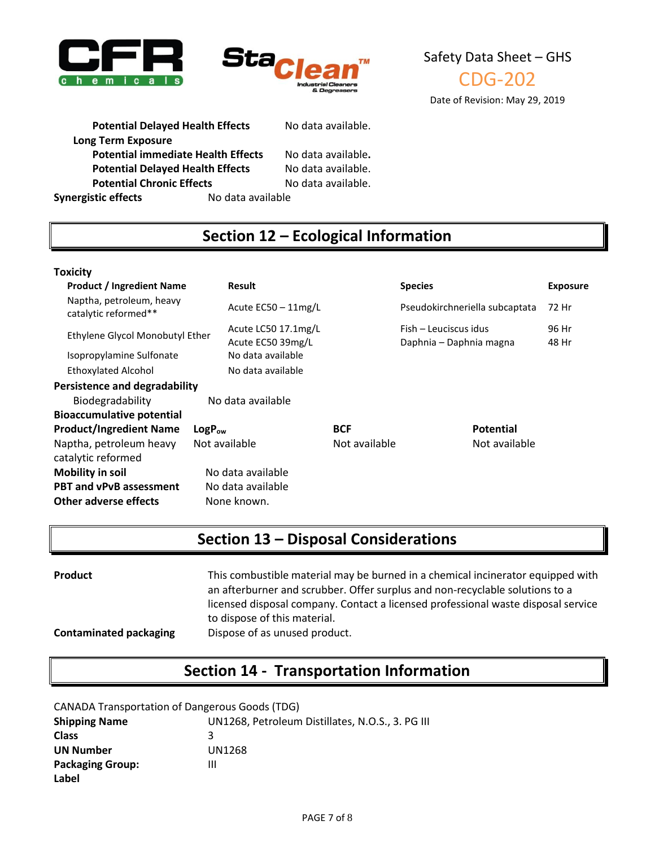



Safety Data Sheet – GHS CDG-202 Date of Revision: May 29, 2019

Potential Delayed Health Effects No data available.

**Long Term Exposure**

**Potential immediate Health Effects** No data available**. Potential Delayed Health Effects** No data available.<br>**Potential Chronic Effects** No data available. **Potential Chronic Effects** 

**Synergistic effects** No data available

### **Section 12 – Ecological Information**

#### **Toxicity**

| <b>Product / Ingredient Name</b><br><b>Result</b> |             |                                          |               | <b>Species</b>                                   |                  | <b>Exposure</b> |
|---------------------------------------------------|-------------|------------------------------------------|---------------|--------------------------------------------------|------------------|-----------------|
| Naptha, petroleum, heavy<br>catalytic reformed**  |             | Acute $EC50 - 11$ mg/L                   |               | Pseudokirchneriella subcaptata                   |                  | 72 Hr           |
| Ethylene Glycol Monobutyl Ether                   |             | Acute LC50 17.1mg/L<br>Acute EC50 39mg/L |               | Fish - Leuciscus idus<br>Daphnia - Daphnia magna |                  | 96 Hr<br>48 Hr  |
| Isopropylamine Sulfonate                          |             | No data available                        |               |                                                  |                  |                 |
| <b>Ethoxylated Alcohol</b>                        |             | No data available                        |               |                                                  |                  |                 |
| Persistence and degradability                     |             |                                          |               |                                                  |                  |                 |
| Biodegradability                                  |             | No data available                        |               |                                                  |                  |                 |
| <b>Bioaccumulative potential</b>                  |             |                                          |               |                                                  |                  |                 |
| <b>Product/Ingredient Name</b>                    | $LogP_{ow}$ |                                          | <b>BCF</b>    |                                                  | <b>Potential</b> |                 |
| Naptha, petroleum heavy<br>catalytic reformed     |             | Not available                            | Not available |                                                  | Not available    |                 |
| <b>Mobility in soil</b>                           |             | No data available                        |               |                                                  |                  |                 |
| <b>PBT and vPvB assessment</b>                    |             | No data available                        |               |                                                  |                  |                 |
| Other adverse effects                             |             | None known.                              |               |                                                  |                  |                 |

### **Section 13 – Disposal Considerations**

| <b>Product</b>                | This combustible material may be burned in a chemical incinerator equipped with<br>an afterburner and scrubber. Offer surplus and non-recyclable solutions to a<br>licensed disposal company. Contact a licensed professional waste disposal service<br>to dispose of this material. |
|-------------------------------|--------------------------------------------------------------------------------------------------------------------------------------------------------------------------------------------------------------------------------------------------------------------------------------|
| <b>Contaminated packaging</b> | Dispose of as unused product.                                                                                                                                                                                                                                                        |

### **Section 14 - Transportation Information**

CANADA Transportation of Dangerous Goods (TDG)

| <b>Shipping Name</b>    | UN1268, Petroleum Distillates, N.O.S., 3. PG III |
|-------------------------|--------------------------------------------------|
| <b>Class</b>            |                                                  |
| <b>UN Number</b>        | UN1268                                           |
| <b>Packaging Group:</b> | Ш                                                |
| Label                   |                                                  |